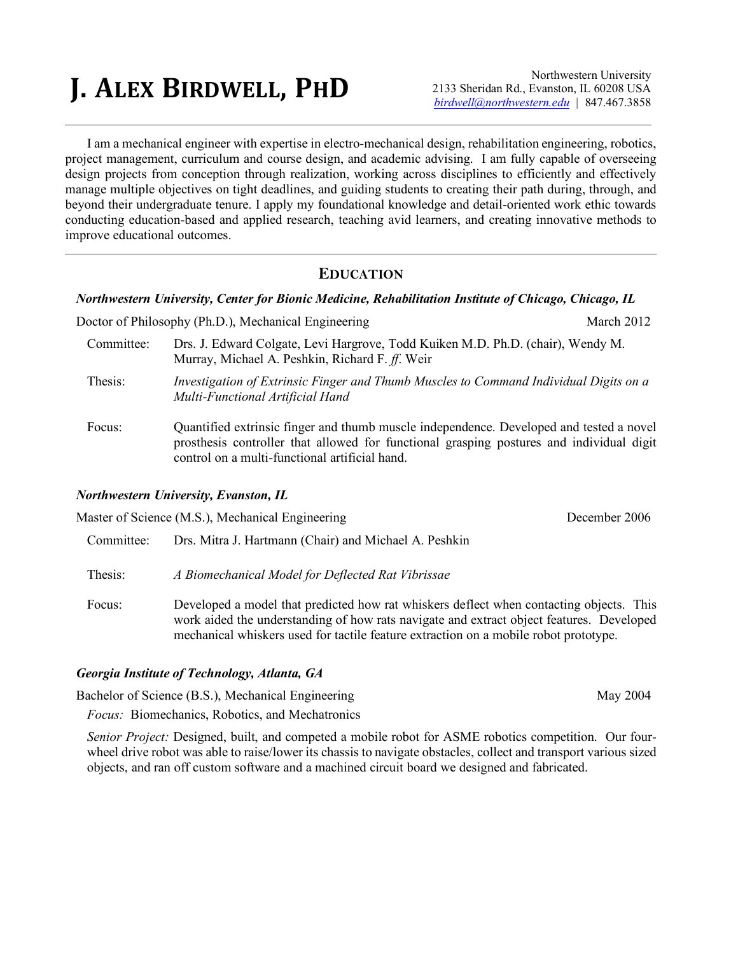# **J. ALEX BIRDWELL, PHD**

Northwestern University 2133 Sheridan Rd., Evanston, IL 60208 USA *birdwell@northwestern.edu |* 847.467.3858

I am a mechanical engineer with expertise in electro-mechanical design, rehabilitation engineering, robotics, project management, curriculum and course design, and academic advising. I am fully capable of overseeing design projects from conception through realization, working across disciplines to efficiently and effectively manage multiple objectives on tight deadlines, and guiding students to creating their path during, through, and beyond their undergraduate tenure. I apply my foundational knowledge and detail-oriented work ethic towards conducting education-based and applied research, teaching avid learners, and creating innovative methods to improve educational outcomes.

#### **EDUCATION**

#### *Northwestern University, Center for Bionic Medicine, Rehabilitation Institute of Chicago, Chicago, IL*

Doctor of Philosophy (Ph.D.), Mechanical Engineering March 2012

- Committee: Drs. J. Edward Colgate, Levi Hargrove, Todd Kuiken M.D. Ph.D. (chair), Wendy M. Murray, Michael A. Peshkin, Richard F. *ff*. Weir
- Thesis: *Investigation of Extrinsic Finger and Thumb Muscles to Command Individual Digits on a Multi-Functional Artificial Hand*
- Focus: Quantified extrinsic finger and thumb muscle independence. Developed and tested a novel prosthesis controller that allowed for functional grasping postures and individual digit control on a multi-functional artificial hand.

#### *Northwestern University, Evanston, IL*

Master of Science (M.S.), Mechanical Engineering December 2006 Committee: Drs. Mitra J. Hartmann (Chair) and Michael A. Peshkin Thesis: *A Biomechanical Model for Deflected Rat Vibrissae* Focus: Developed a model that predicted how rat whiskers deflect when contacting objects. This work aided the understanding of how rats navigate and extract object features. Developed mechanical whiskers used for tactile feature extraction on a mobile robot prototype.

#### *Georgia Institute of Technology, Atlanta, GA*

Bachelor of Science (B.S.), Mechanical Engineering May 2004

*Focus:* Biomechanics, Robotics, and Mechatronics

*Senior Project:* Designed, built, and competed a mobile robot for ASME robotics competition. Our fourwheel drive robot was able to raise/lower its chassis to navigate obstacles, collect and transport various sized objects, and ran off custom software and a machined circuit board we designed and fabricated.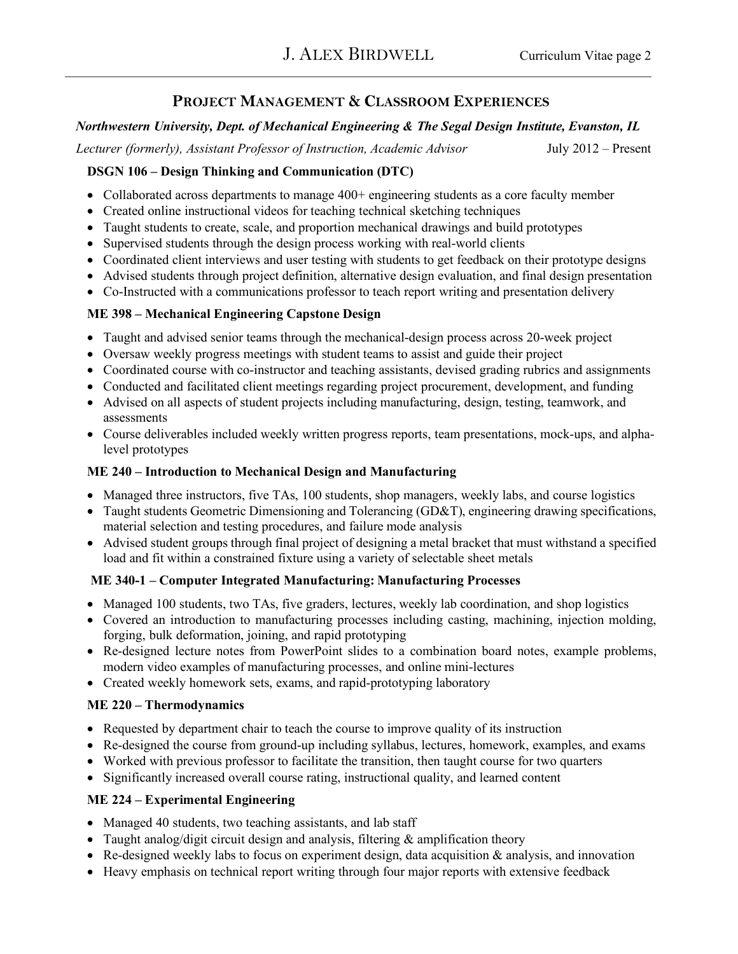## **PROJECT MANAGEMENT & CLASSROOM EXPERIENCES**

### *Northwestern University, Dept. of Mechanical Engineering & The Segal Design Institute, Evanston, IL*

*Lecturer (formerly), Assistant Professor of Instruction, Academic Advisor* July 2012 – Present

#### **DSGN 106 – Design Thinking and Communication (DTC)**

- Collaborated across departments to manage 400+ engineering students as a core faculty member
- Created online instructional videos for teaching technical sketching techniques
- Taught students to create, scale, and proportion mechanical drawings and build prototypes
- Supervised students through the design process working with real-world clients
- Coordinated client interviews and user testing with students to get feedback on their prototype designs
- Advised students through project definition, alternative design evaluation, and final design presentation
- Co-Instructed with a communications professor to teach report writing and presentation delivery

### **ME 398 – Mechanical Engineering Capstone Design**

- Taught and advised senior teams through the mechanical-design process across 20-week project
- Oversaw weekly progress meetings with student teams to assist and guide their project
- Coordinated course with co-instructor and teaching assistants, devised grading rubrics and assignments
- Conducted and facilitated client meetings regarding project procurement, development, and funding
- Advised on all aspects of student projects including manufacturing, design, testing, teamwork, and assessments
- Course deliverables included weekly written progress reports, team presentations, mock-ups, and alphalevel prototypes

#### **ME 240 – Introduction to Mechanical Design and Manufacturing**

- Managed three instructors, five TAs, 100 students, shop managers, weekly labs, and course logistics
- Taught students Geometric Dimensioning and Tolerancing (GD&T), engineering drawing specifications, material selection and testing procedures, and failure mode analysis
- Advised student groups through final project of designing a metal bracket that must withstand a specified load and fit within a constrained fixture using a variety of selectable sheet metals

### **ME 340-1 – Computer Integrated Manufacturing: Manufacturing Processes**

- Managed 100 students, two TAs, five graders, lectures, weekly lab coordination, and shop logistics
- Covered an introduction to manufacturing processes including casting, machining, injection molding, forging, bulk deformation, joining, and rapid prototyping
- Re-designed lecture notes from PowerPoint slides to a combination board notes, example problems, modern video examples of manufacturing processes, and online mini-lectures
- Created weekly homework sets, exams, and rapid-prototyping laboratory

### **ME 220 – Thermodynamics**

- Requested by department chair to teach the course to improve quality of its instruction
- Re-designed the course from ground-up including syllabus, lectures, homework, examples, and exams
- Worked with previous professor to facilitate the transition, then taught course for two quarters
- Significantly increased overall course rating, instructional quality, and learned content

### **ME 224 – Experimental Engineering**

- Managed 40 students, two teaching assistants, and lab staff
- Taught analog/digit circuit design and analysis, filtering  $\&$  amplification theory
- Re-designed weekly labs to focus on experiment design, data acquisition  $\&$  analysis, and innovation
- Heavy emphasis on technical report writing through four major reports with extensive feedback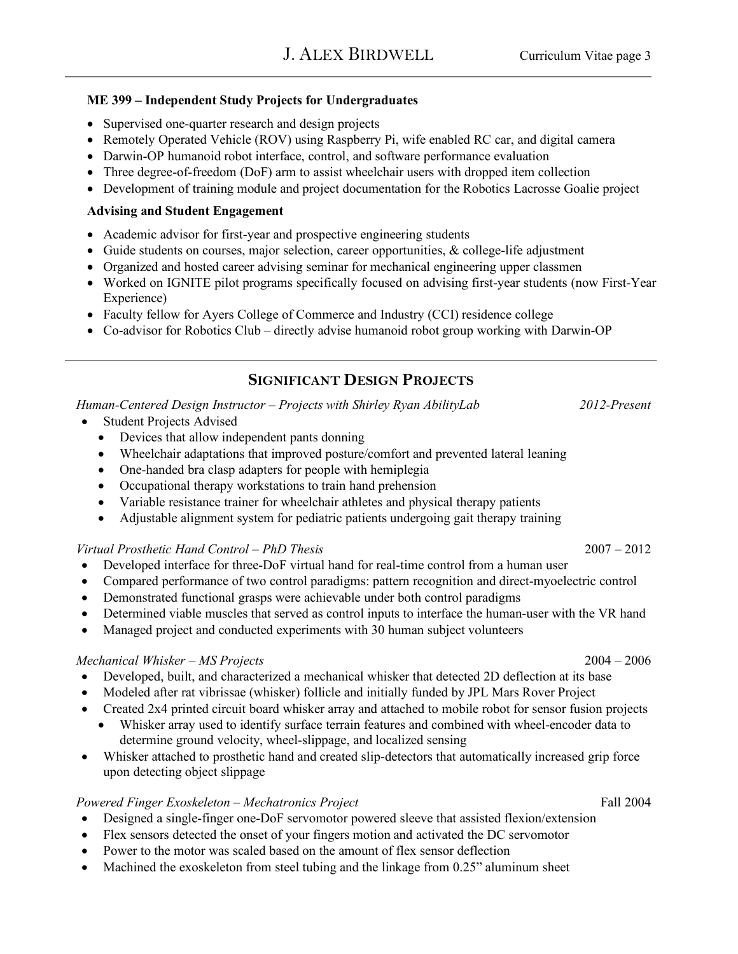#### **ME 399 – Independent Study Projects for Undergraduates**

- Supervised one-quarter research and design projects
- Remotely Operated Vehicle (ROV) using Raspberry Pi, wife enabled RC car, and digital camera
- Darwin-OP humanoid robot interface, control, and software performance evaluation
- Three degree-of-freedom (DoF) arm to assist wheelchair users with dropped item collection
- Development of training module and project documentation for the Robotics Lacrosse Goalie project

#### **Advising and Student Engagement**

- Academic advisor for first-year and prospective engineering students
- Guide students on courses, major selection, career opportunities, & college-life adjustment
- Organized and hosted career advising seminar for mechanical engineering upper classmen
- Worked on IGNITE pilot programs specifically focused on advising first-year students (now First-Year Experience)
- Faculty fellow for Ayers College of Commerce and Industry (CCI) residence college
- Co-advisor for Robotics Club directly advise humanoid robot group working with Darwin-OP

### **SIGNIFICANT DESIGN PROJECTS**

*Human-Centered Design Instructor – Projects with Shirley Ryan AbilityLab 2012-Present*

- Student Projects Advised
	- Devices that allow independent pants donning
	- Wheelchair adaptations that improved posture/comfort and prevented lateral leaning
	- One-handed bra clasp adapters for people with hemiplegia
	- Occupational therapy workstations to train hand prehension
	- Variable resistance trainer for wheelchair athletes and physical therapy patients
	- Adjustable alignment system for pediatric patients undergoing gait therapy training

#### *Virtual Prosthetic Hand Control – PhD Thesis* 2007 – 2012

- Developed interface for three-DoF virtual hand for real-time control from a human user
- Compared performance of two control paradigms: pattern recognition and direct-myoelectric control
- Demonstrated functional grasps were achievable under both control paradigms
- Determined viable muscles that served as control inputs to interface the human-user with the VR hand
- Managed project and conducted experiments with 30 human subject volunteers

#### *Mechanical Whisker – MS Projects* 2004 – 2006

- Developed, built, and characterized a mechanical whisker that detected 2D deflection at its base
- Modeled after rat vibrissae (whisker) follicle and initially funded by JPL Mars Rover Project
- Created 2x4 printed circuit board whisker array and attached to mobile robot for sensor fusion projects
	- Whisker array used to identify surface terrain features and combined with wheel-encoder data to determine ground velocity, wheel-slippage, and localized sensing
- Whisker attached to prosthetic hand and created slip-detectors that automatically increased grip force upon detecting object slippage

#### *Powered Finger Exoskeleton – Mechatronics Project* Fall 2004

- Designed a single-finger one-DoF servomotor powered sleeve that assisted flexion/extension
- Flex sensors detected the onset of your fingers motion and activated the DC servomotor
- Power to the motor was scaled based on the amount of flex sensor deflection
- Machined the exoskeleton from steel tubing and the linkage from 0.25" aluminum sheet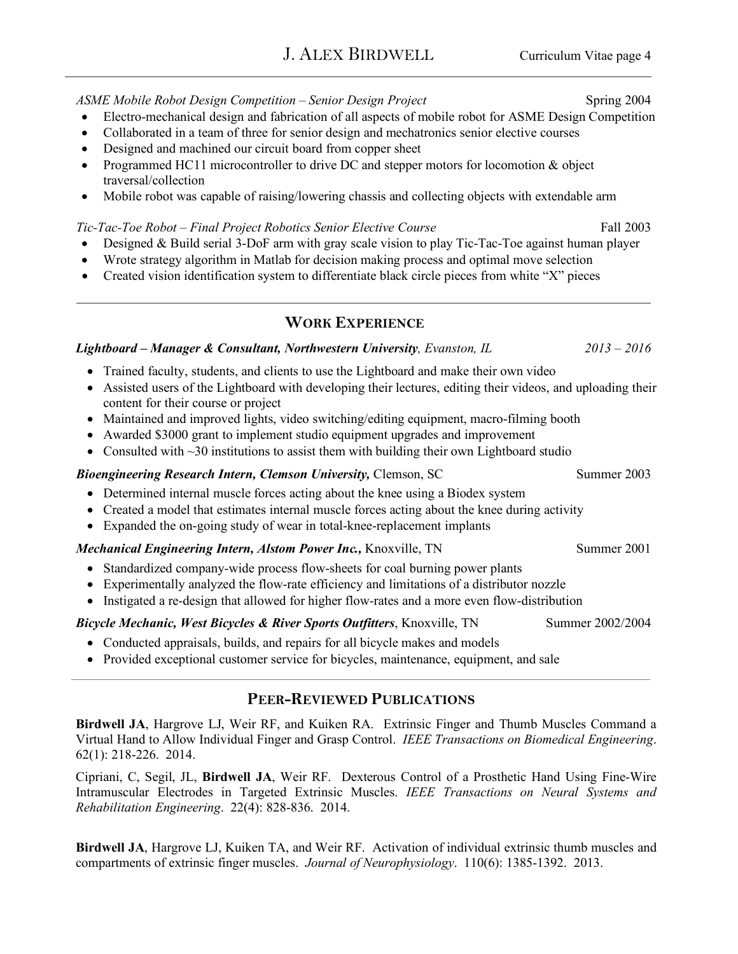- Electro-mechanical design and fabrication of all aspects of mobile robot for ASME Design Competition
- Collaborated in a team of three for senior design and mechatronics senior elective courses
- Designed and machined our circuit board from copper sheet
- Programmed HC11 microcontroller to drive DC and stepper motors for locomotion  $\&$  object traversal/collection
- Mobile robot was capable of raising/lowering chassis and collecting objects with extendable arm

#### *Tic-Tac-Toe Robot – Final Project Robotics Senior Elective Course* Fall 2003

- Designed & Build serial 3-DoF arm with gray scale vision to play Tic-Tac-Toe against human player
- Wrote strategy algorithm in Matlab for decision making process and optimal move selection
- Created vision identification system to differentiate black circle pieces from white "X" pieces

### **WORK EXPERIENCE**

#### *Lightboard – Manager & Consultant, Northwestern University, Evanston, IL 2013 – 2016*

- Trained faculty, students, and clients to use the Lightboard and make their own video
- Assisted users of the Lightboard with developing their lectures, editing their videos, and uploading their content for their course or project
- Maintained and improved lights, video switching/editing equipment, macro-filming booth
- Awarded \$3000 grant to implement studio equipment upgrades and improvement
- Consulted with  $\sim$ 30 institutions to assist them with building their own Lightboard studio

#### *Bioengineering Research Intern, Clemson University, Clemson, SC* Summer 2003

- Determined internal muscle forces acting about the knee using a Biodex system
- Created a model that estimates internal muscle forces acting about the knee during activity
- Expanded the on-going study of wear in total-knee-replacement implants

#### *Mechanical Engineering Intern, Alstom Power Inc., Knoxville, TN* Summer 2001

- Standardized company-wide process flow-sheets for coal burning power plants
- Experimentally analyzed the flow-rate efficiency and limitations of a distributor nozzle
- Instigated a re-design that allowed for higher flow-rates and a more even flow-distribution

#### *Bicycle Mechanic, West Bicycles & River Sports Outfitters*, Knoxville, TN Summer 2002/2004

- Conducted appraisals, builds, and repairs for all bicycle makes and models
- Provided exceptional customer service for bicycles, maintenance, equipment, and sale

# **PEER-REVIEWED PUBLICATIONS**

**Birdwell JA**, Hargrove LJ, Weir RF, and Kuiken RA. Extrinsic Finger and Thumb Muscles Command a Virtual Hand to Allow Individual Finger and Grasp Control. *IEEE Transactions on Biomedical Engineering*. 62(1): 218-226. 2014.

Cipriani, C, Segil, JL, **Birdwell JA**, Weir RF. Dexterous Control of a Prosthetic Hand Using Fine-Wire Intramuscular Electrodes in Targeted Extrinsic Muscles. *IEEE Transactions on Neural Systems and Rehabilitation Engineering*. 22(4): 828-836. 2014.

**Birdwell JA**, Hargrove LJ, Kuiken TA, and Weir RF. Activation of individual extrinsic thumb muscles and compartments of extrinsic finger muscles. *Journal of Neurophysiology*. 110(6): 1385-1392. 2013.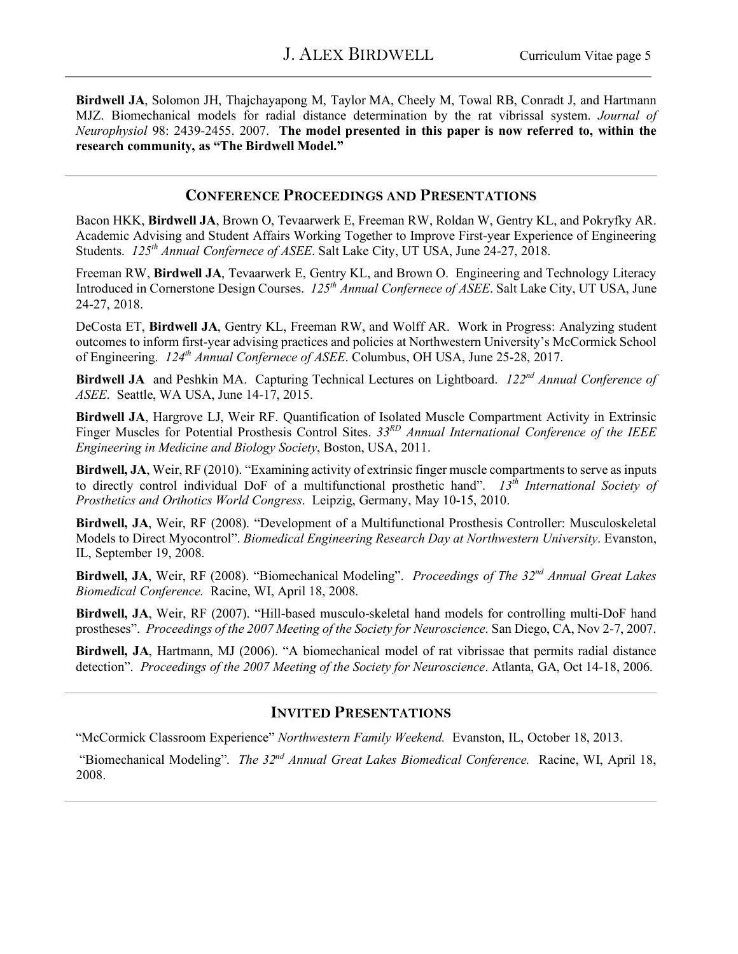**Birdwell JA**, Solomon JH, Thajchayapong M, Taylor MA, Cheely M, Towal RB, Conradt J, and Hartmann MJZ. Biomechanical models for radial distance determination by the rat vibrissal system. *Journal of Neurophysiol* 98: 2439-2455. 2007. **The model presented in this paper is now referred to, within the research community, as "The Birdwell Model."**

#### **CONFERENCE PROCEEDINGS AND PRESENTATIONS**

Bacon HKK, **Birdwell JA**, Brown O, Tevaarwerk E, Freeman RW, Roldan W, Gentry KL, and Pokryfky AR. Academic Advising and Student Affairs Working Together to Improve First-year Experience of Engineering Students. *125th Annual Confernece of ASEE*. Salt Lake City, UT USA, June 24-27, 2018.

Freeman RW, **Birdwell JA**, Tevaarwerk E, Gentry KL, and Brown O. Engineering and Technology Literacy Introduced in Cornerstone Design Courses. *125th Annual Confernece of ASEE*. Salt Lake City, UT USA, June 24-27, 2018.

DeCosta ET, **Birdwell JA**, Gentry KL, Freeman RW, and Wolff AR. Work in Progress: Analyzing student outcomes to inform first-year advising practices and policies at Northwestern University's McCormick School of Engineering. *124th Annual Confernece of ASEE*. Columbus, OH USA, June 25-28, 2017.

**Birdwell JA** and Peshkin MA. Capturing Technical Lectures on Lightboard. *122nd Annual Conference of ASEE*. Seattle, WA USA, June 14-17, 2015.

**Birdwell JA**, Hargrove LJ, Weir RF. Quantification of Isolated Muscle Compartment Activity in Extrinsic Finger Muscles for Potential Prosthesis Control Sites. *33RD Annual International Conference of the IEEE Engineering in Medicine and Biology Society*, Boston, USA, 2011.

**Birdwell, JA**, Weir, RF (2010). "Examining activity of extrinsic finger muscle compartments to serve as inputs to directly control individual DoF of a multifunctional prosthetic hand". *13th International Society of Prosthetics and Orthotics World Congress*. Leipzig, Germany, May 10-15, 2010.

**Birdwell, JA**, Weir, RF (2008). "Development of a Multifunctional Prosthesis Controller: Musculoskeletal Models to Direct Myocontrol". *Biomedical Engineering Research Day at Northwestern University*. Evanston, IL, September 19, 2008.

**Birdwell, JA**, Weir, RF (2008). "Biomechanical Modeling". *Proceedings of The 32nd Annual Great Lakes Biomedical Conference.* Racine, WI, April 18, 2008.

**Birdwell, JA**, Weir, RF (2007). "Hill-based musculo-skeletal hand models for controlling multi-DoF hand prostheses". *Proceedings of the 2007 Meeting of the Society for Neuroscience*. San Diego, CA, Nov 2-7, 2007.

**Birdwell, JA**, Hartmann, MJ (2006). "A biomechanical model of rat vibrissae that permits radial distance detection". *Proceedings of the 2007 Meeting of the Society for Neuroscience*. Atlanta, GA, Oct 14-18, 2006.

### **INVITED PRESENTATIONS**

"McCormick Classroom Experience" *Northwestern Family Weekend.* Evanston, IL, October 18, 2013.

"Biomechanical Modeling". *The 32nd Annual Great Lakes Biomedical Conference.* Racine, WI, April 18, 2008.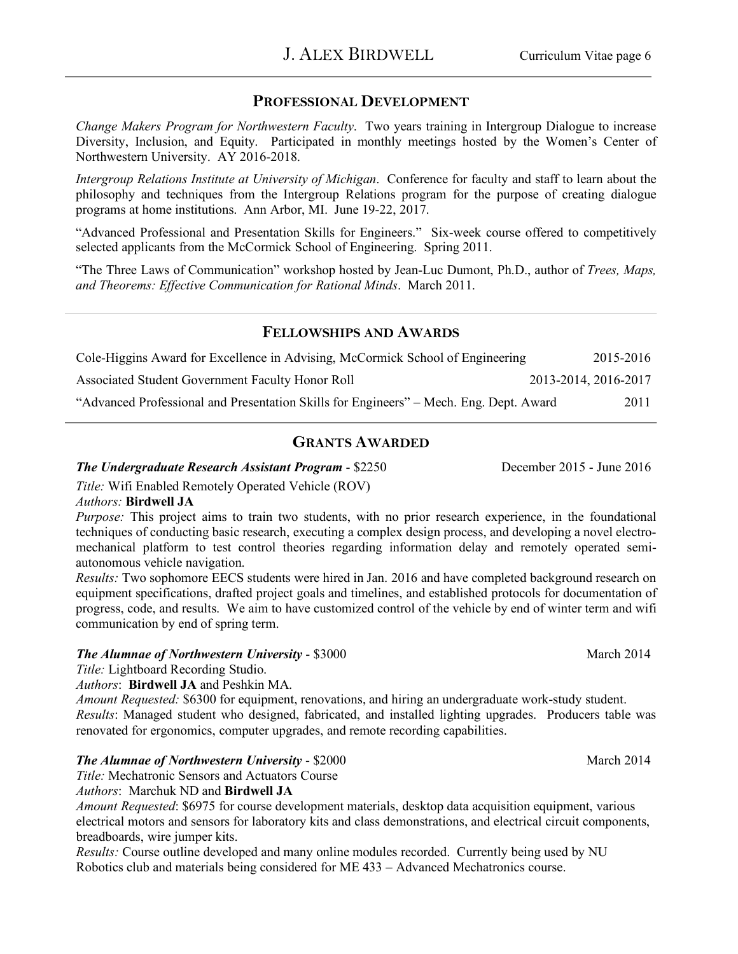### **PROFESSIONAL DEVELOPMENT**

*Change Makers Program for Northwestern Faculty*. Two years training in Intergroup Dialogue to increase Diversity, Inclusion, and Equity. Participated in monthly meetings hosted by the Women's Center of Northwestern University. AY 2016-2018.

*Intergroup Relations Institute at University of Michigan*. Conference for faculty and staff to learn about the philosophy and techniques from the Intergroup Relations program for the purpose of creating dialogue programs at home institutions. Ann Arbor, MI. June 19-22, 2017.

"Advanced Professional and Presentation Skills for Engineers." Six-week course offered to competitively selected applicants from the McCormick School of Engineering. Spring 2011.

"The Three Laws of Communication" workshop hosted by Jean-Luc Dumont, Ph.D., author of *Trees, Maps, and Theorems: Effective Communication for Rational Minds*. March 2011.

#### **FELLOWSHIPS AND AWARDS**

| Cole-Higgins Award for Excellence in Advising, McCormick School of Engineering         | 2015-2016            |
|----------------------------------------------------------------------------------------|----------------------|
| Associated Student Government Faculty Honor Roll                                       | 2013-2014, 2016-2017 |
| "Advanced Professional and Presentation Skills for Engineers" – Mech. Eng. Dept. Award | 2011                 |

### **GRANTS AWARDED**

#### *The Undergraduate Research Assistant Program - \$2250* December 2015 - June 2016

*Title:* Wifi Enabled Remotely Operated Vehicle (ROV)

#### *Authors:* **Birdwell JA**

*Purpose:* This project aims to train two students, with no prior research experience, in the foundational techniques of conducting basic research, executing a complex design process, and developing a novel electromechanical platform to test control theories regarding information delay and remotely operated semiautonomous vehicle navigation.

*Results:* Two sophomore EECS students were hired in Jan. 2016 and have completed background research on equipment specifications, drafted project goals and timelines, and established protocols for documentation of progress, code, and results. We aim to have customized control of the vehicle by end of winter term and wifi communication by end of spring term.

#### *The Alumnae of Northwestern University* - \$3000 March 2014

*Title:* Lightboard Recording Studio.

*Authors*: **Birdwell JA** and Peshkin MA.

*Amount Requested:* \$6300 for equipment, renovations, and hiring an undergraduate work-study student. *Results*: Managed student who designed, fabricated, and installed lighting upgrades. Producers table was renovated for ergonomics, computer upgrades, and remote recording capabilities.

#### *The Alumnae of Northwestern University* - \$2000 March 2014 March 2014

*Title:* Mechatronic Sensors and Actuators Course *Authors*:Marchuk ND and **Birdwell JA**

*Amount Requested*: \$6975 for course development materials, desktop data acquisition equipment, various electrical motors and sensors for laboratory kits and class demonstrations, and electrical circuit components, breadboards, wire jumper kits.

*Results:* Course outline developed and many online modules recorded. Currently being used by NU Robotics club and materials being considered for ME 433 – Advanced Mechatronics course.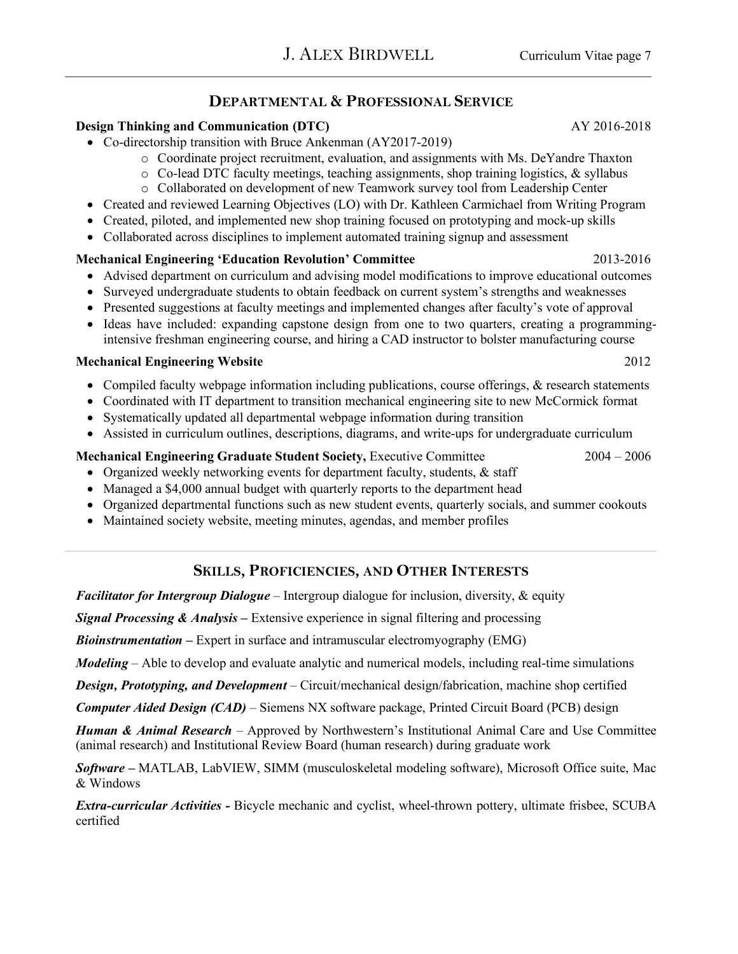### **DEPARTMENTAL & PROFESSIONAL SERVICE**

#### **Design Thinking and Communication (DTC)**  $AY\ 2016-2018$

- Co-directorship transition with Bruce Ankenman (AY2017-2019)
	- o Coordinate project recruitment, evaluation, and assignments with Ms. DeYandre Thaxton
	- o Co-lead DTC faculty meetings, teaching assignments, shop training logistics, & syllabus
	- o Collaborated on development of new Teamwork survey tool from Leadership Center
- Created and reviewed Learning Objectives (LO) with Dr. Kathleen Carmichael from Writing Program
- Created, piloted, and implemented new shop training focused on prototyping and mock-up skills
- Collaborated across disciplines to implement automated training signup and assessment

#### **Mechanical Engineering 'Education Revolution' Committee** 2013-2016

- Advised department on curriculum and advising model modifications to improve educational outcomes
- Surveyed undergraduate students to obtain feedback on current system's strengths and weaknesses
- Presented suggestions at faculty meetings and implemented changes after faculty's vote of approval
- Ideas have included: expanding capstone design from one to two quarters, creating a programmingintensive freshman engineering course, and hiring a CAD instructor to bolster manufacturing course

#### **Mechanical Engineering Website** 2012

- Compiled faculty webpage information including publications, course offerings, & research statements
- Coordinated with IT department to transition mechanical engineering site to new McCormick format
- Systematically updated all departmental webpage information during transition
- Assisted in curriculum outlines, descriptions, diagrams, and write-ups for undergraduate curriculum

#### **Mechanical Engineering Graduate Student Society,** Executive Committee 2004 – 2006

- Organized weekly networking events for department faculty, students, & staff
- Managed a \$4,000 annual budget with quarterly reports to the department head
- Organized departmental functions such as new student events, quarterly socials, and summer cookouts
- Maintained society website, meeting minutes, agendas, and member profiles

### **SKILLS, PROFICIENCIES, AND OTHER INTERESTS**

*Facilitator for Intergroup Dialogue* – Intergroup dialogue for inclusion, diversity, & equity

*Signal Processing & Analysis* **–** Extensive experience in signal filtering and processing

*Bioinstrumentation* **–** Expert in surface and intramuscular electromyography (EMG)

*Modeling* – Able to develop and evaluate analytic and numerical models, including real-time simulations

*Design, Prototyping, and Development* – Circuit/mechanical design/fabrication, machine shop certified

*Computer Aided Design (CAD)* – Siemens NX software package, Printed Circuit Board (PCB) design

*Human & Animal Research* – Approved by Northwestern's Institutional Animal Care and Use Committee (animal research) and Institutional Review Board (human research) during graduate work

*Software* **–** MATLAB, LabVIEW, SIMM (musculoskeletal modeling software), Microsoft Office suite, Mac & Windows

*Extra-curricular Activities -* Bicycle mechanic and cyclist, wheel-thrown pottery, ultimate frisbee, SCUBA certified